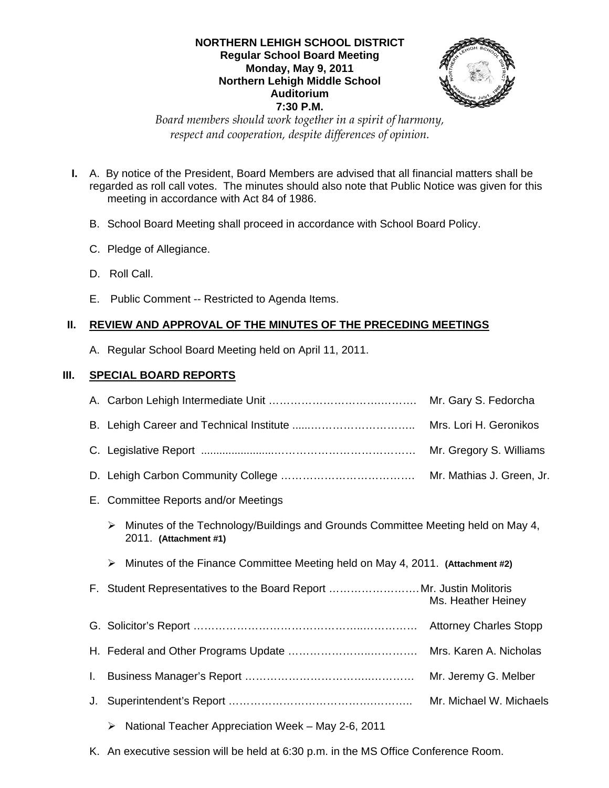# **NORTHERN LEHIGH SCHOOL DISTRICT Regular School Board Meeting Monday, May 9, 2011 Northern Lehigh Middle School Auditorium 7:30 P.M.**



*Board members should work together in a spirit of harmony, respect and cooperation, despite differences of opinion.* 

- **I.** A. By notice of the President, Board Members are advised that all financial matters shall be regarded as roll call votes. The minutes should also note that Public Notice was given for this meeting in accordance with Act 84 of 1986.
	- B. School Board Meeting shall proceed in accordance with School Board Policy.
	- C. Pledge of Allegiance.
	- D. Roll Call.
	- E. Public Comment -- Restricted to Agenda Items.

# **II. REVIEW AND APPROVAL OF THE MINUTES OF THE PRECEDING MEETINGS**

A. Regular School Board Meeting held on April 11, 2011.

# **III. SPECIAL BOARD REPORTS**

|    |                                                                                                                | Mr. Gary S. Fedorcha      |
|----|----------------------------------------------------------------------------------------------------------------|---------------------------|
|    |                                                                                                                | Mrs. Lori H. Geronikos    |
|    |                                                                                                                | Mr. Gregory S. Williams   |
|    |                                                                                                                | Mr. Mathias J. Green, Jr. |
|    | E. Committee Reports and/or Meetings                                                                           |                           |
|    | Minutes of the Technology/Buildings and Grounds Committee Meeting held on May 4,<br>➤<br>2011. (Attachment #1) |                           |
|    | Minutes of the Finance Committee Meeting held on May 4, 2011. (Attachment #2)<br>➤                             |                           |
|    | F. Student Representatives to the Board Report Mr. Justin Molitoris                                            | Ms. Heather Heiney        |
|    |                                                                                                                |                           |
|    |                                                                                                                |                           |
|    |                                                                                                                | Mrs. Karen A. Nicholas    |
| L. |                                                                                                                | Mr. Jeremy G. Melber      |
| J. |                                                                                                                | Mr. Michael W. Michaels   |

K. An executive session will be held at 6:30 p.m. in the MS Office Conference Room.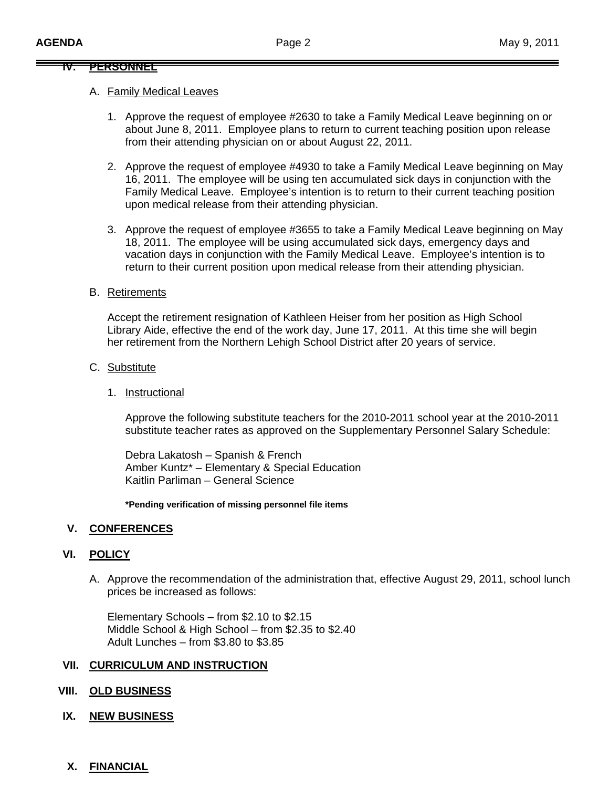#### **IV. PERSONNEL**

#### A. Family Medical Leaves

- 1. Approve the request of employee #2630 to take a Family Medical Leave beginning on or about June 8, 2011. Employee plans to return to current teaching position upon release from their attending physician on or about August 22, 2011.
- 2. Approve the request of employee #4930 to take a Family Medical Leave beginning on May 16, 2011. The employee will be using ten accumulated sick days in conjunction with the Family Medical Leave. Employee's intention is to return to their current teaching position upon medical release from their attending physician.
- 3. Approve the request of employee #3655 to take a Family Medical Leave beginning on May 18, 2011. The employee will be using accumulated sick days, emergency days and vacation days in conjunction with the Family Medical Leave. Employee's intention is to return to their current position upon medical release from their attending physician.

### B. Retirements

Accept the retirement resignation of Kathleen Heiser from her position as High School Library Aide, effective the end of the work day, June 17, 2011. At this time she will begin her retirement from the Northern Lehigh School District after 20 years of service.

- C. Substitute
	- 1. Instructional

 Approve the following substitute teachers for the 2010-2011 school year at the 2010-2011 substitute teacher rates as approved on the Supplementary Personnel Salary Schedule:

 Debra Lakatosh – Spanish & French Amber Kuntz\* – Elementary & Special Education Kaitlin Parliman – General Science

**\*Pending verification of missing personnel file items** 

### **V. CONFERENCES**

### **VI. POLICY**

A. Approve the recommendation of the administration that, effective August 29, 2011, school lunch prices be increased as follows:

 Elementary Schools – from \$2.10 to \$2.15 Middle School & High School – from \$2.35 to \$2.40 Adult Lunches – from \$3.80 to \$3.85

#### **VII. CURRICULUM AND INSTRUCTION**

### **VIII. OLD BUSINESS**

# **IX. NEW BUSINESS**

### **X. FINANCIAL**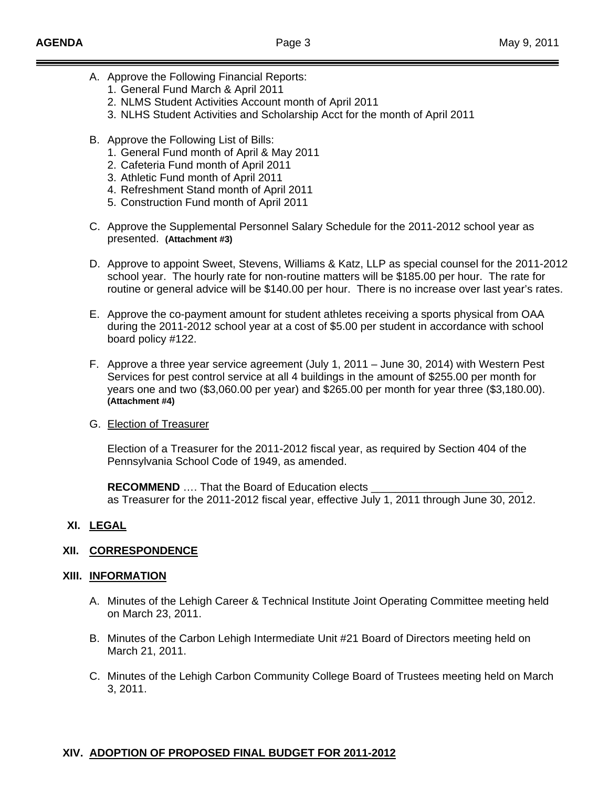- A. Approve the Following Financial Reports:
	- 1. General Fund March & April 2011
	- 2. NLMS Student Activities Account month of April 2011
	- 3. NLHS Student Activities and Scholarship Acct for the month of April 2011
- B. Approve the Following List of Bills:
	- 1. General Fund month of April & May 2011
	- 2. Cafeteria Fund month of April 2011
	- 3. Athletic Fund month of April 2011
	- 4. Refreshment Stand month of April 2011
	- 5. Construction Fund month of April 2011
- C. Approve the Supplemental Personnel Salary Schedule for the 2011-2012 school year as presented. **(Attachment #3)**
- D. Approve to appoint Sweet, Stevens, Williams & Katz, LLP as special counsel for the 2011-2012 school year. The hourly rate for non-routine matters will be \$185.00 per hour. The rate for routine or general advice will be \$140.00 per hour. There is no increase over last year's rates.
- E. Approve the co-payment amount for student athletes receiving a sports physical from OAA during the 2011-2012 school year at a cost of \$5.00 per student in accordance with school board policy #122.
- F. Approve a three year service agreement (July 1, 2011 June 30, 2014) with Western Pest Services for pest control service at all 4 buildings in the amount of \$255.00 per month for years one and two (\$3,060.00 per year) and \$265.00 per month for year three (\$3,180.00). **(Attachment #4)**
- G. Election of Treasurer

 Election of a Treasurer for the 2011-2012 fiscal year, as required by Section 404 of the Pennsylvania School Code of 1949, as amended.

**RECOMMEND** .... That the Board of Education elects as Treasurer for the 2011-2012 fiscal year, effective July 1, 2011 through June 30, 2012.

# **XI. LEGAL**

# **XII. CORRESPONDENCE**

# **XIII. INFORMATION**

- A. Minutes of the Lehigh Career & Technical Institute Joint Operating Committee meeting held on March 23, 2011.
- B. Minutes of the Carbon Lehigh Intermediate Unit #21 Board of Directors meeting held on March 21, 2011.
- C. Minutes of the Lehigh Carbon Community College Board of Trustees meeting held on March 3, 2011.

# **XIV. ADOPTION OF PROPOSED FINAL BUDGET FOR 2011-2012**